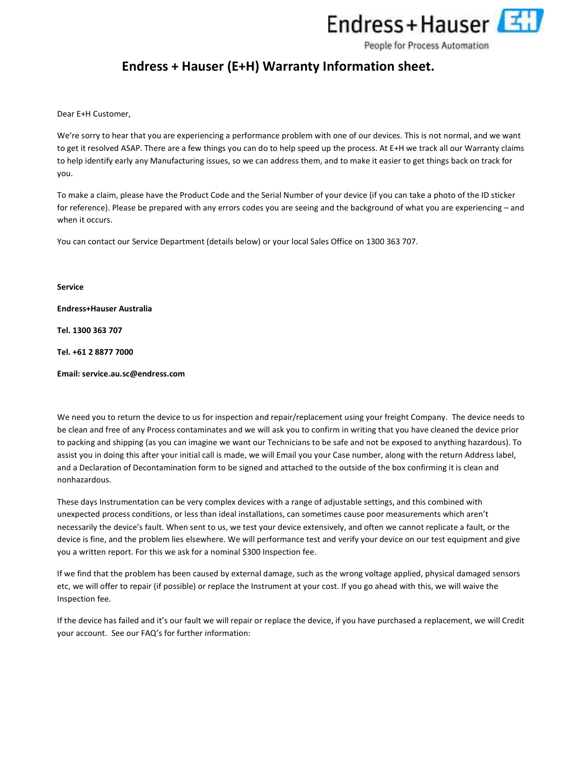

People for Process Automation

# Endress + Hauser (E+H) Warranty Information sheet.

Dear E+H Customer,

We're sorry to hear that you are experiencing a performance problem with one of our devices. This is not normal, and we want to get it resolved ASAP. There are a few things you can do to help speed up the process. At E+H we track all our Warranty claims to help identify early any Manufacturing issues, so we can address them, and to make it easier to get things back on track for you.

To make a claim, please have the Product Code and the Serial Number of your device (if you can take a photo of the ID sticker for reference). Please be prepared with any errors codes you are seeing and the background of what you are experiencing – and when it occurs.

You can contact our Service Department (details below) or your local Sales Office on 1300 363 707.

Service

Endress+Hauser Australia

Tel. 1300 363 707

Tel. +61 2 8877 7000

Email: service.au.sc@endress.com

We need you to return the device to us for inspection and repair/replacement using your freight Company. The device needs to be clean and free of any Process contaminates and we will ask you to confirm in writing that you have cleaned the device prior to packing and shipping (as you can imagine we want our Technicians to be safe and not be exposed to anything hazardous). To assist you in doing this after your initial call is made, we will Email you your Case number, along with the return Address label, and a Declaration of Decontamination form to be signed and attached to the outside of the box confirming it is clean and nonhazardous.

These days Instrumentation can be very complex devices with a range of adjustable settings, and this combined with unexpected process conditions, or less than ideal installations, can sometimes cause poor measurements which aren't necessarily the device's fault. When sent to us, we test your device extensively, and often we cannot replicate a fault, or the device is fine, and the problem lies elsewhere. We will performance test and verify your device on our test equipment and give you a written report. For this we ask for a nominal \$300 Inspection fee.

If we find that the problem has been caused by external damage, such as the wrong voltage applied, physical damaged sensors etc, we will offer to repair (if possible) or replace the Instrument at your cost. If you go ahead with this, we will waive the Inspection fee.

If the device has failed and it's our fault we will repair or replace the device, if you have purchased a replacement, we will Credit your account. See our FAQ's for further information: